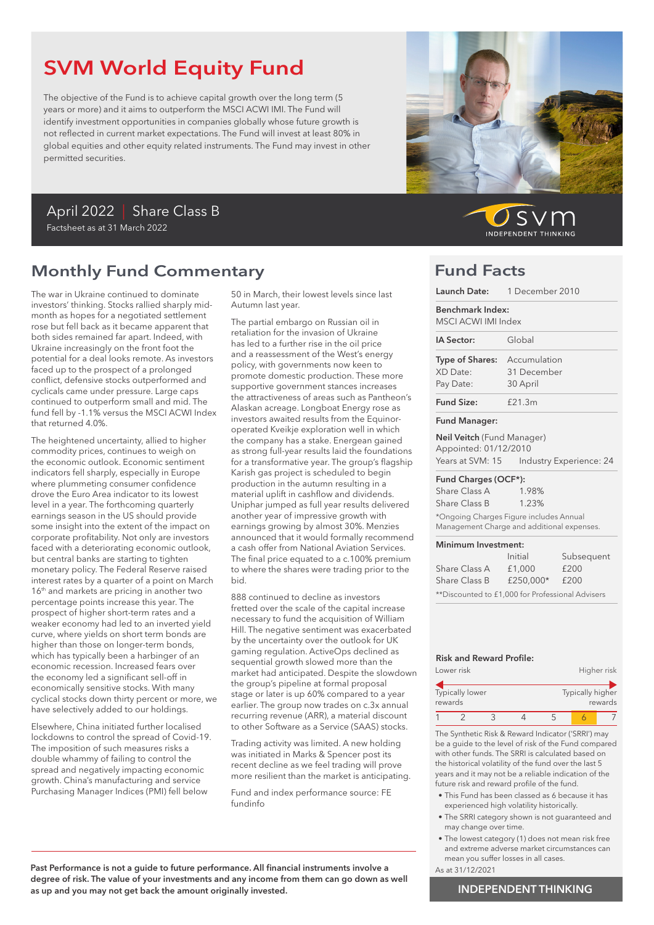# SVM World Equity Fund

The objective of the Fund is to achieve capital growth over the long term (5 years or more) and it aims to outperform the MSCI ACWI IMI. The Fund will identify investment opportunities in companies globally whose future growth is not reflected in current market expectations. The Fund will invest at least 80% in global equities and other equity related instruments. The Fund may invest in other permitted securities.

## April 2022 | Share Class B Factsheet as at 31 March 2022

# Monthly Fund Commentary

The war in Ukraine continued to dominate investors' thinking. Stocks rallied sharply midmonth as hopes for a negotiated settlement rose but fell back as it became apparent that both sides remained far apart. Indeed, with Ukraine increasingly on the front foot the potential for a deal looks remote. As investors faced up to the prospect of a prolonged conflict, defensive stocks outperformed and cyclicals came under pressure. Large caps continued to outperform small and mid. The fund fell by -1.1% versus the MSCI ACWI Index that returned 4.0%.

The heightened uncertainty, allied to higher commodity prices, continues to weigh on the economic outlook. Economic sentiment indicators fell sharply, especially in Europe where plummeting consumer confidence drove the Euro Area indicator to its lowest level in a year. The forthcoming quarterly earnings season in the US should provide some insight into the extent of the impact on corporate profitability. Not only are investors faced with a deteriorating economic outlook, but central banks are starting to tighten monetary policy. The Federal Reserve raised interest rates by a quarter of a point on March 16<sup>th</sup> and markets are pricing in another two percentage points increase this year. The prospect of higher short-term rates and a weaker economy had led to an inverted yield curve, where yields on short term bonds are higher than those on longer-term bonds, which has typically been a harbinger of an economic recession. Increased fears over the economy led a significant sell-off in economically sensitive stocks. With many cyclical stocks down thirty percent or more, we have selectively added to our holdings.

Elsewhere, China initiated further localised lockdowns to control the spread of Covid-19. The imposition of such measures risks a double whammy of failing to control the spread and negatively impacting economic growth. China's manufacturing and service Purchasing Manager Indices (PMI) fell below

50 in March, their lowest levels since last Autumn last year.

The partial embargo on Russian oil in retaliation for the invasion of Ukraine has led to a further rise in the oil price and a reassessment of the West's energy policy, with governments now keen to promote domestic production. These more supportive government stances increases the attractiveness of areas such as Pantheon's Alaskan acreage. Longboat Energy rose as investors awaited results from the Equinoroperated Kveikje exploration well in which the company has a stake. Energean gained as strong full-year results laid the foundations for a transformative year. The group's flagship Karish gas project is scheduled to begin production in the autumn resulting in a material uplift in cashflow and dividends. Uniphar jumped as full year results delivered another year of impressive growth with earnings growing by almost 30%. Menzies announced that it would formally recommend a cash offer from National Aviation Services. The final price equated to a c.100% premium to where the shares were trading prior to the bid.

888 continued to decline as investors fretted over the scale of the capital increase necessary to fund the acquisition of William Hill. The negative sentiment was exacerbated by the uncertainty over the outlook for UK gaming regulation. ActiveOps declined as sequential growth slowed more than the market had anticipated. Despite the slowdown the group's pipeline at formal proposal stage or later is up 60% compared to a year earlier. The group now trades on c.3x annual recurring revenue (ARR), a material discount to other Software as a Service (SAAS) stocks.

Trading activity was limited. A new holding was initiated in Marks & Spencer post its recent decline as we feel trading will prove more resilient than the market is anticipating.

Fund and index performance source: FE fundinfo



SV **INDEPENDENT THINKING** 

## Fund Facts

|                                                                                | Launch Date: 1 December 2010                                                                            |  |  |
|--------------------------------------------------------------------------------|---------------------------------------------------------------------------------------------------------|--|--|
| Benchmark Index:<br>MSCI ACWI IMI Index                                        |                                                                                                         |  |  |
| IA Sector:                                                                     | Global                                                                                                  |  |  |
| Type of Shares:<br>XD Date:<br>Pay Date:                                       | Accumulation<br>31 December<br>30 April                                                                 |  |  |
| <b>Fund Size:</b>                                                              | £21.3m                                                                                                  |  |  |
| <b>Fund Manager:</b>                                                           |                                                                                                         |  |  |
| <b>Neil Veitch</b> (Fund Manager)<br>Appointed: 01/12/2010<br>Years at SVM: 15 | Industry Experience: 24                                                                                 |  |  |
| Fund Charges (OCF*):                                                           |                                                                                                         |  |  |
| Share Class A<br>Share Class B                                                 | 1.98%<br>1.23%<br>*Ongoing Charges Figure includes Annual<br>Management Charge and additional expenses. |  |  |
| Minimum Investment:                                                            | Initial<br>Subsequent                                                                                   |  |  |

|                                                  | Initial   | Subsequent |  |
|--------------------------------------------------|-----------|------------|--|
| Share Class A                                    | £1,000    | £200       |  |
| Share Class B                                    | £250.000* | £200       |  |
| **Discounted to £1,000 for Professional Advisers |           |            |  |

### Risk and Reward Profile:

|         | Lower risk      |                  |  |         | Higher risk |
|---------|-----------------|------------------|--|---------|-------------|
| rewards | Typically lower | Typically higher |  | rewards |             |
|         |                 |                  |  |         |             |

The Synthetic Risk & Reward Indicator ('SRRI') may be a guide to the level of risk of the Fund compared with other funds. The SRRI is calculated based on the historical volatility of the fund over the last 5 years and it may not be a reliable indication of the future risk and reward profile of the fund.

- This Fund has been classed as 6 because it has experienced high volatility historically.
- The SRRI category shown is not guaranteed and may change over time.
- The lowest category (1) does not mean risk free and extreme adverse market circumstances can mean you suffer losses in all cases.
- As at 31/12/2021

## INDEPENDENT THINKING

Past Performance is not a guide to future performance. All financial instruments involve a degree of risk. The value of your investments and any income from them can go down as well as up and you may not get back the amount originally invested.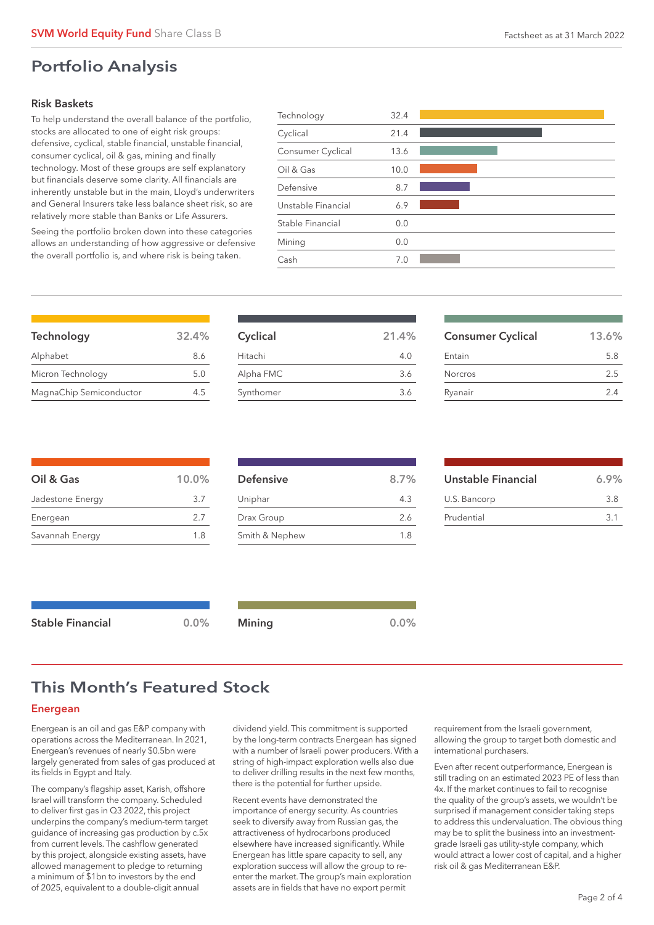# Portfolio Analysis

### Risk Baskets

To help understand the overall balance of the portfolio, stocks are allocated to one of eight risk groups: defensive, cyclical, stable financial, unstable financial, consumer cyclical, oil & gas, mining and finally technology. Most of these groups are self explanatory but financials deserve some clarity. All financials are inherently unstable but in the main, Lloyd's underwriters and General Insurers take less balance sheet risk, so are relatively more stable than Banks or Life Assurers.

Seeing the portfolio broken down into these categories allows an understanding of how aggressive or defensive the overall portfolio is, and where risk is being taken.

| Technology         | 32.4 |  |
|--------------------|------|--|
| Cyclical           | 21.4 |  |
| Consumer Cyclical  | 13.6 |  |
| Oil & Gas          | 10.0 |  |
| Defensive          | 8.7  |  |
| Unstable Financial | 6.9  |  |
| Stable Financial   | 0.0  |  |
| Mining             | 0.0  |  |
| Cash               | 7.0  |  |
|                    |      |  |

| Technology              | 32.4% |
|-------------------------|-------|
| Alphabet                | 8.6   |
| Micron Technology       | 5.0   |
| MagnaChip Semiconductor | 4.5   |

| Cyclical  | 21.4% |
|-----------|-------|
| Hitachi   | 4.0   |
| Alpha FMC | 3.6   |
| Synthomer | 3.6   |
|           |       |

| <b>Consumer Cyclical</b> | 13.6% |
|--------------------------|-------|
| Entain                   | 5.8   |
| <b>Norcros</b>           | 2.5   |
| Ryanair                  | 24    |

| $10.0\%$ |
|----------|
| 3.7      |
| 2.7      |
| 1.8      |
|          |

| <b>Defensive</b> | 8.7% |
|------------------|------|
| Uniphar          | 4.3  |
| Drax Group       | 26   |
| Smith & Nephew   | 1.8  |

| Unstable Financial | 6.9% |
|--------------------|------|
| U.S. Bancorp       | 3 R  |
| Prudential         | 31   |

| <b>Stable Financial</b> | 0.0% | <b>Mining</b> | 0.0% |
|-------------------------|------|---------------|------|
|-------------------------|------|---------------|------|

# This Month's Featured Stock

### Energean

Energean is an oil and gas E&P company with operations across the Mediterranean. In 2021, Energean's revenues of nearly \$0.5bn were largely generated from sales of gas produced at its fields in Egypt and Italy.

The company's flagship asset, Karish, offshore Israel will transform the company. Scheduled to deliver first gas in Q3 2022, this project underpins the company's medium-term target guidance of increasing gas production by c.5x from current levels. The cashflow generated by this project, alongside existing assets, have allowed management to pledge to returning a minimum of \$1bn to investors by the end of 2025, equivalent to a double-digit annual

dividend yield. This commitment is supported by the long-term contracts Energean has signed with a number of Israeli power producers. With a string of high-impact exploration wells also due to deliver drilling results in the next few months, there is the potential for further upside.

Recent events have demonstrated the importance of energy security. As countries seek to diversify away from Russian gas, the attractiveness of hydrocarbons produced elsewhere have increased significantly. While Energean has little spare capacity to sell, any exploration success will allow the group to reenter the market. The group's main exploration assets are in fields that have no export permit

requirement from the Israeli government, allowing the group to target both domestic and international purchasers.

Even after recent outperformance, Energean is still trading on an estimated 2023 PE of less than 4x. If the market continues to fail to recognise the quality of the group's assets, we wouldn't be surprised if management consider taking steps to address this undervaluation. The obvious thing may be to split the business into an investmentgrade Israeli gas utility-style company, which would attract a lower cost of capital, and a higher risk oil & gas Mediterranean E&P.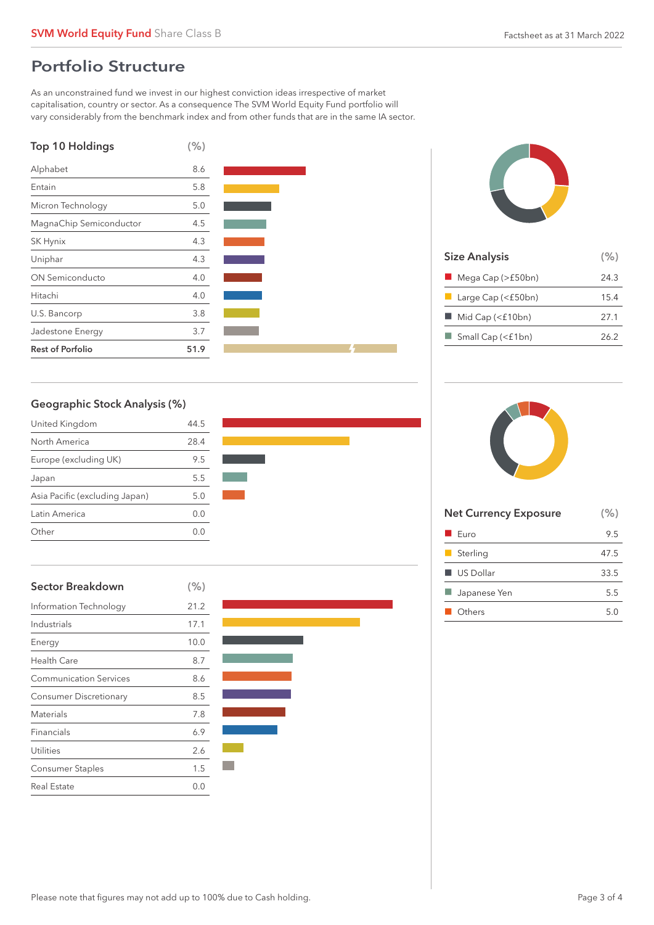# Portfolio Structure

As an unconstrained fund we invest in our highest conviction ideas irrespective of market capitalisation, country or sector. As a consequence The SVM World Equity Fund portfolio will vary considerably from the benchmark index and from other funds that are in the same IA sector.







| <b>Size Analysis</b>              |      |
|-----------------------------------|------|
| $\blacksquare$ Mega Cap (>£50bn)  | 24.3 |
| $\blacksquare$ Large Cap (<£50bn) | 15.4 |
| Mid Cap (<£10bn)                  | 27.1 |
| $\Box$ Small Cap (<£1bn)          | 26.2 |
|                                   |      |

## Geographic Stock Analysis (%)

| United Kingdom                 | 44.5    |
|--------------------------------|---------|
| North America                  | 28.4    |
| Europe (excluding UK)          | 9.5     |
| Japan                          | 5.5     |
| Asia Pacific (excluding Japan) | 5.0     |
| Latin America                  | 0.0     |
| Other                          | ( ) ( ) |



| <b>Sector Breakdown</b>       | (% ) |
|-------------------------------|------|
| Information Technology        | 21.2 |
| Industrials                   | 17.1 |
| Energy                        | 10.0 |
| <b>Health Care</b>            | 8.7  |
| <b>Communication Services</b> | 8.6  |
| <b>Consumer Discretionary</b> | 8.5  |
| <b>Materials</b>              | 7.8  |
| Financials                    | 6.9  |
| Utilities                     | 2.6  |
| Consumer Staples              | 1.5  |
| <b>Real Estate</b>            | 0.0  |



| <b>Net Currency Exposure</b> | (% ) |
|------------------------------|------|
| $\blacksquare$ Euro          | 9.5  |
| Sterling                     | 47.5 |
| $\blacksquare$ US Dollar     | 33.5 |
| Japanese Yen                 | 5.5  |
| ■ Others                     | 5.0  |
|                              |      |